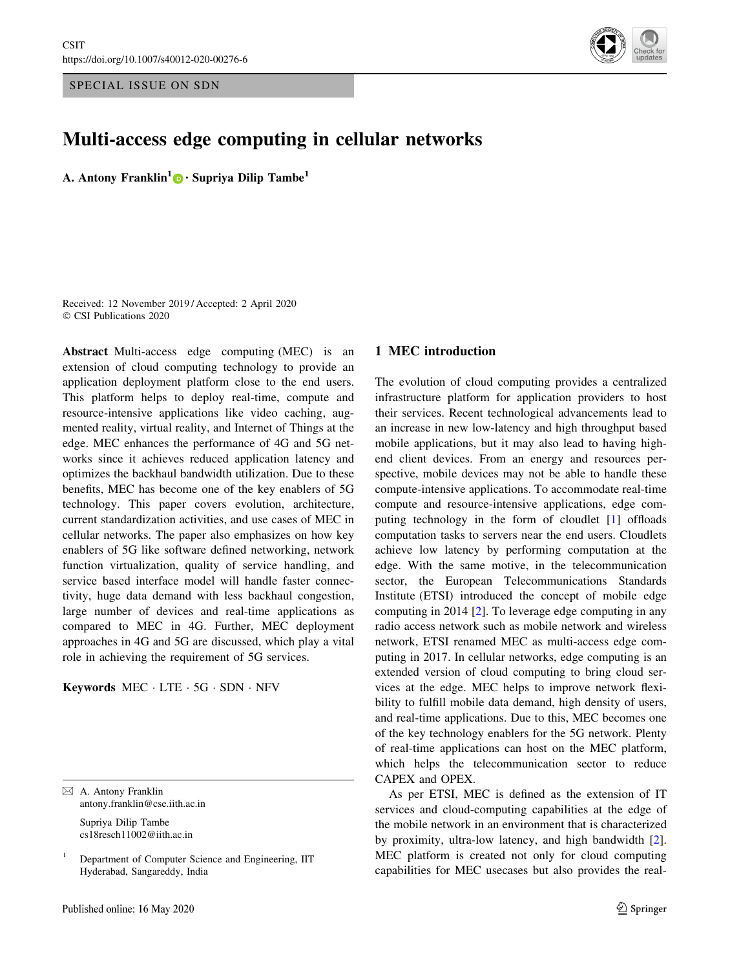SPECIAL ISSUE ON SDN



# Multi-access edge computing in cellular networks

A. Antony Franklin<sup>1</sup> • Supriya Dilip Tambe<sup>1</sup>

Received: 12 November 2019 / Accepted: 2 April 2020 © CSI Publications 2020

Abstract Multi-access edge computing (MEC) is an extension of cloud computing technology to provide an application deployment platform close to the end users. This platform helps to deploy real-time, compute and resource-intensive applications like video caching, augmented reality, virtual reality, and Internet of Things at the edge. MEC enhances the performance of 4G and 5G networks since it achieves reduced application latency and optimizes the backhaul bandwidth utilization. Due to these benefits, MEC has become one of the key enablers of 5G technology. This paper covers evolution, architecture, current standardization activities, and use cases of MEC in cellular networks. The paper also emphasizes on how key enablers of 5G like software defined networking, network function virtualization, quality of service handling, and service based interface model will handle faster connectivity, huge data demand with less backhaul congestion, large number of devices and real-time applications as compared to MEC in 4G. Further, MEC deployment approaches in 4G and 5G are discussed, which play a vital role in achieving the requirement of 5G services.

Keywords MEC - LTE - 5G - SDN - NFV

 $\boxtimes$  A. Antony Franklin antony.franklin@cse.iith.ac.in

> Supriya Dilip Tambe cs18resch11002@iith.ac.in

## 1 MEC introduction

The evolution of cloud computing provides a centralized infrastructure platform for application providers to host their services. Recent technological advancements lead to an increase in new low-latency and high throughput based mobile applications, but it may also lead to having highend client devices. From an energy and resources perspective, mobile devices may not be able to handle these compute-intensive applications. To accommodate real-time compute and resource-intensive applications, edge computing technology in the form of cloudlet [\[1](#page-6-0)] offloads computation tasks to servers near the end users. Cloudlets achieve low latency by performing computation at the edge. With the same motive, in the telecommunication sector, the European Telecommunications Standards Institute (ETSI) introduced the concept of mobile edge computing in 2014 [\[2](#page-6-0)]. To leverage edge computing in any radio access network such as mobile network and wireless network, ETSI renamed MEC as multi-access edge computing in 2017. In cellular networks, edge computing is an extended version of cloud computing to bring cloud services at the edge. MEC helps to improve network flexibility to fulfill mobile data demand, high density of users, and real-time applications. Due to this, MEC becomes one of the key technology enablers for the 5G network. Plenty of real-time applications can host on the MEC platform, which helps the telecommunication sector to reduce CAPEX and OPEX.

As per ETSI, MEC is defined as the extension of IT services and cloud-computing capabilities at the edge of the mobile network in an environment that is characterized by proximity, ultra-low latency, and high bandwidth [\[2](#page-6-0)]. MEC platform is created not only for cloud computing capabilities for MEC usecases but also provides the real-

Department of Computer Science and Engineering, IIT Hyderabad, Sangareddy, India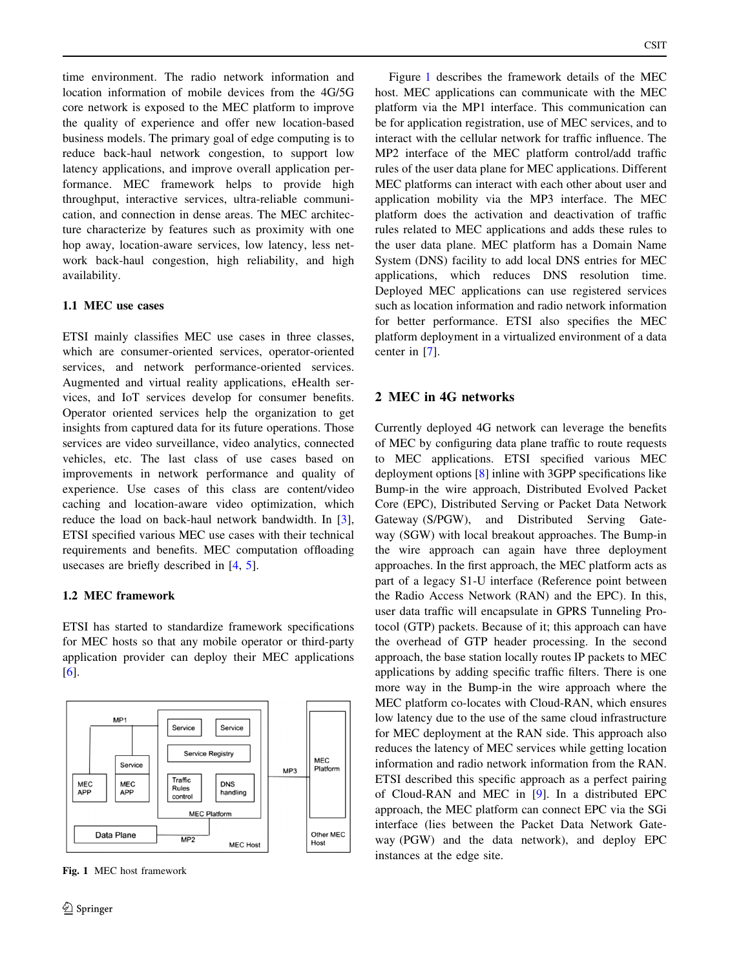time environment. The radio network information and location information of mobile devices from the 4G/5G core network is exposed to the MEC platform to improve the quality of experience and offer new location-based business models. The primary goal of edge computing is to reduce back-haul network congestion, to support low latency applications, and improve overall application performance. MEC framework helps to provide high throughput, interactive services, ultra-reliable communication, and connection in dense areas. The MEC architecture characterize by features such as proximity with one hop away, location-aware services, low latency, less network back-haul congestion, high reliability, and high availability.

## 1.1 MEC use cases

ETSI mainly classifies MEC use cases in three classes, which are consumer-oriented services, operator-oriented services, and network performance-oriented services. Augmented and virtual reality applications, eHealth services, and IoT services develop for consumer benefits. Operator oriented services help the organization to get insights from captured data for its future operations. Those services are video surveillance, video analytics, connected vehicles, etc. The last class of use cases based on improvements in network performance and quality of experience. Use cases of this class are content/video caching and location-aware video optimization, which reduce the load on back-haul network bandwidth. In [\[3](#page-6-0)], ETSI specified various MEC use cases with their technical requirements and benefits. MEC computation offloading usecases are briefly described in [[4,](#page-6-0) [5\]](#page-6-0).

# 1.2 MEC framework

ETSI has started to standardize framework specifications for MEC hosts so that any mobile operator or third-party application provider can deploy their MEC applications [\[6](#page-6-0)].



Fig. 1 MEC host framework

Figure 1 describes the framework details of the MEC host. MEC applications can communicate with the MEC platform via the MP1 interface. This communication can be for application registration, use of MEC services, and to interact with the cellular network for traffic influence. The MP2 interface of the MEC platform control/add traffic rules of the user data plane for MEC applications. Different MEC platforms can interact with each other about user and application mobility via the MP3 interface. The MEC platform does the activation and deactivation of traffic rules related to MEC applications and adds these rules to the user data plane. MEC platform has a Domain Name System (DNS) facility to add local DNS entries for MEC applications, which reduces DNS resolution time. Deployed MEC applications can use registered services such as location information and radio network information for better performance. ETSI also specifies the MEC platform deployment in a virtualized environment of a data center in [\[7](#page-6-0)].

# 2 MEC in 4G networks

Currently deployed 4G network can leverage the benefits of MEC by configuring data plane traffic to route requests to MEC applications. ETSI specified various MEC deployment options [[8\]](#page-6-0) inline with 3GPP specifications like Bump-in the wire approach, Distributed Evolved Packet Core (EPC), Distributed Serving or Packet Data Network Gateway (S/PGW), and Distributed Serving Gateway (SGW) with local breakout approaches. The Bump-in the wire approach can again have three deployment approaches. In the first approach, the MEC platform acts as part of a legacy S1-U interface (Reference point between the Radio Access Network (RAN) and the EPC). In this, user data traffic will encapsulate in GPRS Tunneling Protocol (GTP) packets. Because of it; this approach can have the overhead of GTP header processing. In the second approach, the base station locally routes IP packets to MEC applications by adding specific traffic filters. There is one more way in the Bump-in the wire approach where the MEC platform co-locates with Cloud-RAN, which ensures low latency due to the use of the same cloud infrastructure for MEC deployment at the RAN side. This approach also reduces the latency of MEC services while getting location information and radio network information from the RAN. ETSI described this specific approach as a perfect pairing of Cloud-RAN and MEC in [[9\]](#page-6-0). In a distributed EPC approach, the MEC platform can connect EPC via the SGi interface (lies between the Packet Data Network Gateway (PGW) and the data network), and deploy EPC instances at the edge site.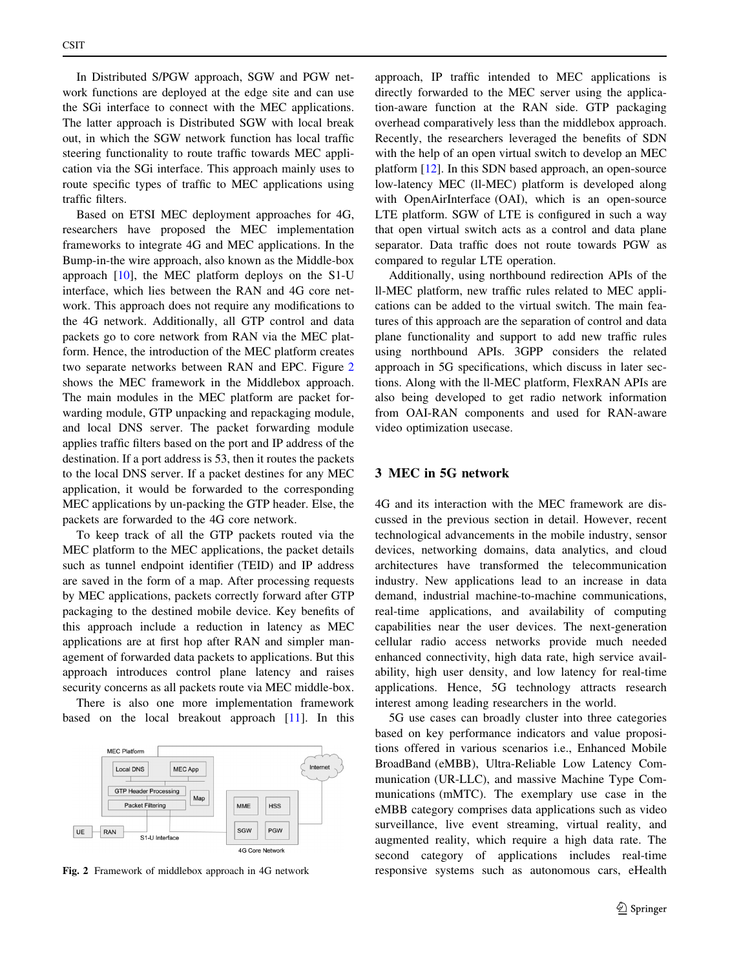In Distributed S/PGW approach, SGW and PGW network functions are deployed at the edge site and can use the SGi interface to connect with the MEC applications. The latter approach is Distributed SGW with local break out, in which the SGW network function has local traffic steering functionality to route traffic towards MEC application via the SGi interface. This approach mainly uses to route specific types of traffic to MEC applications using traffic filters.

Based on ETSI MEC deployment approaches for 4G, researchers have proposed the MEC implementation frameworks to integrate 4G and MEC applications. In the Bump-in-the wire approach, also known as the Middle-box approach  $[10]$ , the MEC platform deploys on the S1-U interface, which lies between the RAN and 4G core network. This approach does not require any modifications to the 4G network. Additionally, all GTP control and data packets go to core network from RAN via the MEC platform. Hence, the introduction of the MEC platform creates two separate networks between RAN and EPC. Figure 2 shows the MEC framework in the Middlebox approach. The main modules in the MEC platform are packet forwarding module, GTP unpacking and repackaging module, and local DNS server. The packet forwarding module applies traffic filters based on the port and IP address of the destination. If a port address is 53, then it routes the packets to the local DNS server. If a packet destines for any MEC application, it would be forwarded to the corresponding MEC applications by un-packing the GTP header. Else, the packets are forwarded to the 4G core network.

To keep track of all the GTP packets routed via the MEC platform to the MEC applications, the packet details such as tunnel endpoint identifier (TEID) and IP address are saved in the form of a map. After processing requests by MEC applications, packets correctly forward after GTP packaging to the destined mobile device. Key benefits of this approach include a reduction in latency as MEC applications are at first hop after RAN and simpler management of forwarded data packets to applications. But this approach introduces control plane latency and raises security concerns as all packets route via MEC middle-box.

There is also one more implementation framework based on the local breakout approach [[11\]](#page-6-0). In this



approach, IP traffic intended to MEC applications is directly forwarded to the MEC server using the application-aware function at the RAN side. GTP packaging overhead comparatively less than the middlebox approach. Recently, the researchers leveraged the benefits of SDN with the help of an open virtual switch to develop an MEC platform [[12\]](#page-6-0). In this SDN based approach, an open-source low-latency MEC (ll-MEC) platform is developed along with OpenAirInterface (OAI), which is an open-source LTE platform. SGW of LTE is configured in such a way that open virtual switch acts as a control and data plane separator. Data traffic does not route towards PGW as compared to regular LTE operation.

Additionally, using northbound redirection APIs of the ll-MEC platform, new traffic rules related to MEC applications can be added to the virtual switch. The main features of this approach are the separation of control and data plane functionality and support to add new traffic rules using northbound APIs. 3GPP considers the related approach in 5G specifications, which discuss in later sections. Along with the ll-MEC platform, FlexRAN APIs are also being developed to get radio network information from OAI-RAN components and used for RAN-aware video optimization usecase.

# 3 MEC in 5G network

4G and its interaction with the MEC framework are discussed in the previous section in detail. However, recent technological advancements in the mobile industry, sensor devices, networking domains, data analytics, and cloud architectures have transformed the telecommunication industry. New applications lead to an increase in data demand, industrial machine-to-machine communications, real-time applications, and availability of computing capabilities near the user devices. The next-generation cellular radio access networks provide much needed enhanced connectivity, high data rate, high service availability, high user density, and low latency for real-time applications. Hence, 5G technology attracts research interest among leading researchers in the world.

5G use cases can broadly cluster into three categories based on key performance indicators and value propositions offered in various scenarios i.e., Enhanced Mobile BroadBand (eMBB), Ultra-Reliable Low Latency Communication (UR-LLC), and massive Machine Type Communications (mMTC). The exemplary use case in the eMBB category comprises data applications such as video surveillance, live event streaming, virtual reality, and augmented reality, which require a high data rate. The second category of applications includes real-time Fig. 2 Framework of middlebox approach in 4G network responsive systems such as autonomous cars, eHealth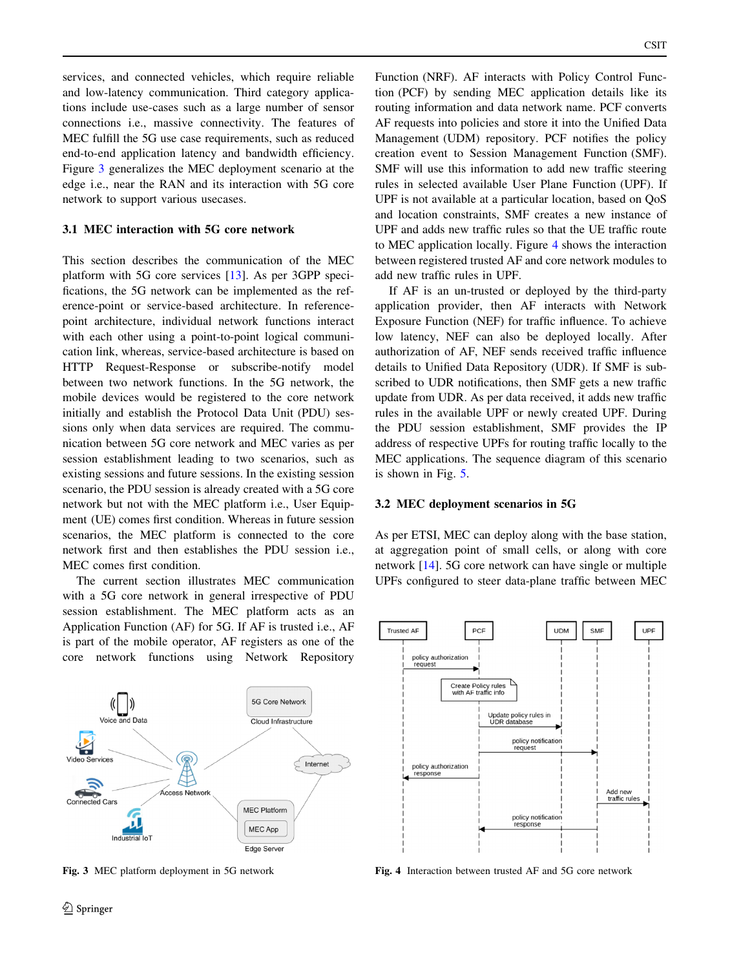services, and connected vehicles, which require reliable and low-latency communication. Third category applications include use-cases such as a large number of sensor connections i.e., massive connectivity. The features of MEC fulfill the 5G use case requirements, such as reduced end-to-end application latency and bandwidth efficiency. Figure 3 generalizes the MEC deployment scenario at the edge i.e., near the RAN and its interaction with 5G core network to support various usecases.

## 3.1 MEC interaction with 5G core network

This section describes the communication of the MEC platform with 5G core services [\[13](#page-6-0)]. As per 3GPP specifications, the 5G network can be implemented as the reference-point or service-based architecture. In referencepoint architecture, individual network functions interact with each other using a point-to-point logical communication link, whereas, service-based architecture is based on HTTP Request-Response or subscribe-notify model between two network functions. In the 5G network, the mobile devices would be registered to the core network initially and establish the Protocol Data Unit (PDU) sessions only when data services are required. The communication between 5G core network and MEC varies as per session establishment leading to two scenarios, such as existing sessions and future sessions. In the existing session scenario, the PDU session is already created with a 5G core network but not with the MEC platform i.e., User Equipment (UE) comes first condition. Whereas in future session scenarios, the MEC platform is connected to the core network first and then establishes the PDU session i.e., MEC comes first condition.

The current section illustrates MEC communication with a 5G core network in general irrespective of PDU session establishment. The MEC platform acts as an Application Function (AF) for 5G. If AF is trusted i.e., AF is part of the mobile operator, AF registers as one of the core network functions using Network Repository



Function (NRF). AF interacts with Policy Control Function (PCF) by sending MEC application details like its routing information and data network name. PCF converts AF requests into policies and store it into the Unified Data Management (UDM) repository. PCF notifies the policy creation event to Session Management Function (SMF). SMF will use this information to add new traffic steering rules in selected available User Plane Function (UPF). If UPF is not available at a particular location, based on QoS and location constraints, SMF creates a new instance of UPF and adds new traffic rules so that the UE traffic route to MEC application locally. Figure 4 shows the interaction between registered trusted AF and core network modules to add new traffic rules in UPF.

If AF is an un-trusted or deployed by the third-party application provider, then AF interacts with Network Exposure Function (NEF) for traffic influence. To achieve low latency, NEF can also be deployed locally. After authorization of AF, NEF sends received traffic influence details to Unified Data Repository (UDR). If SMF is subscribed to UDR notifications, then SMF gets a new traffic update from UDR. As per data received, it adds new traffic rules in the available UPF or newly created UPF. During the PDU session establishment, SMF provides the IP address of respective UPFs for routing traffic locally to the MEC applications. The sequence diagram of this scenario is shown in Fig. [5.](#page-4-0)

#### 3.2 MEC deployment scenarios in 5G

As per ETSI, MEC can deploy along with the base station, at aggregation point of small cells, or along with core network [\[14](#page-6-0)]. 5G core network can have single or multiple UPFs configured to steer data-plane traffic between MEC



Fig. 3 MEC platform deployment in 5G network Fig. 4 Interaction between trusted AF and 5G core network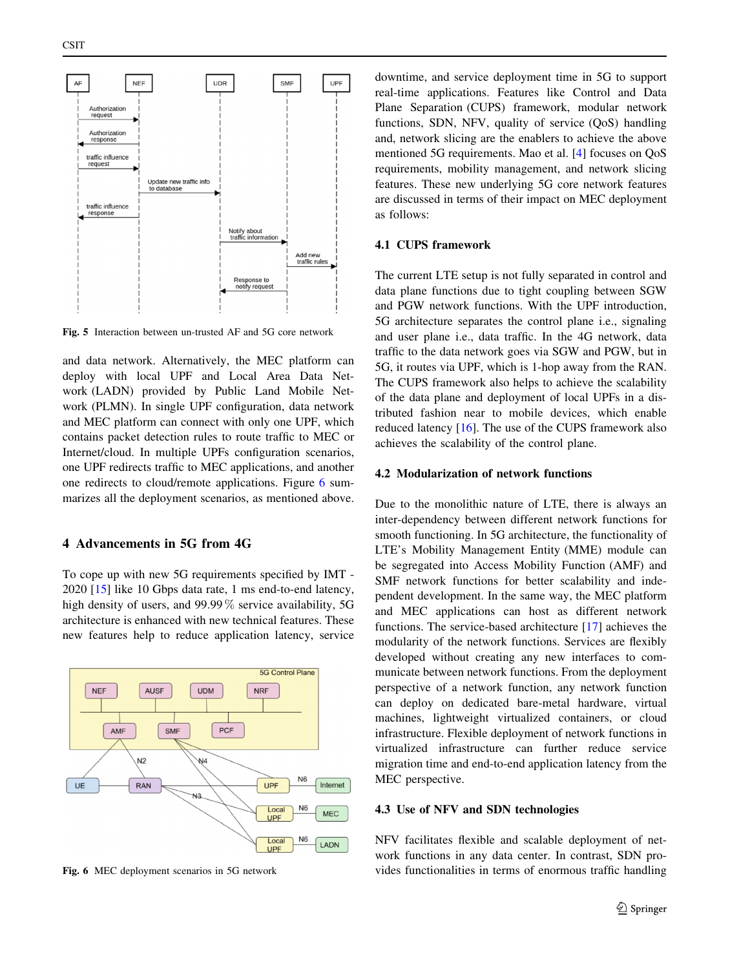<span id="page-4-0"></span>

Fig. 5 Interaction between un-trusted AF and 5G core network

and data network. Alternatively, the MEC platform can deploy with local UPF and Local Area Data Network (LADN) provided by Public Land Mobile Network (PLMN). In single UPF configuration, data network and MEC platform can connect with only one UPF, which contains packet detection rules to route traffic to MEC or Internet/cloud. In multiple UPFs configuration scenarios, one UPF redirects traffic to MEC applications, and another one redirects to cloud/remote applications. Figure 6 summarizes all the deployment scenarios, as mentioned above.

## 4 Advancements in 5G from 4G

To cope up with new 5G requirements specified by IMT - 2020 [\[15](#page-6-0)] like 10 Gbps data rate, 1 ms end-to-end latency, high density of users, and 99:99 % service availability, 5G architecture is enhanced with new technical features. These new features help to reduce application latency, service



Fig. 6 MEC deployment scenarios in 5G network

downtime, and service deployment time in 5G to support real-time applications. Features like Control and Data Plane Separation (CUPS) framework, modular network functions, SDN, NFV, quality of service (QoS) handling and, network slicing are the enablers to achieve the above mentioned 5G requirements. Mao et al. [\[4](#page-6-0)] focuses on QoS requirements, mobility management, and network slicing features. These new underlying 5G core network features are discussed in terms of their impact on MEC deployment as follows:

## 4.1 CUPS framework

The current LTE setup is not fully separated in control and data plane functions due to tight coupling between SGW and PGW network functions. With the UPF introduction, 5G architecture separates the control plane i.e., signaling and user plane i.e., data traffic. In the 4G network, data traffic to the data network goes via SGW and PGW, but in 5G, it routes via UPF, which is 1-hop away from the RAN. The CUPS framework also helps to achieve the scalability of the data plane and deployment of local UPFs in a distributed fashion near to mobile devices, which enable reduced latency [[16\]](#page-6-0). The use of the CUPS framework also achieves the scalability of the control plane.

#### 4.2 Modularization of network functions

Due to the monolithic nature of LTE, there is always an inter-dependency between different network functions for smooth functioning. In 5G architecture, the functionality of LTE's Mobility Management Entity (MME) module can be segregated into Access Mobility Function (AMF) and SMF network functions for better scalability and independent development. In the same way, the MEC platform and MEC applications can host as different network functions. The service-based architecture [\[17](#page-6-0)] achieves the modularity of the network functions. Services are flexibly developed without creating any new interfaces to communicate between network functions. From the deployment perspective of a network function, any network function can deploy on dedicated bare-metal hardware, virtual machines, lightweight virtualized containers, or cloud infrastructure. Flexible deployment of network functions in virtualized infrastructure can further reduce service migration time and end-to-end application latency from the MEC perspective.

#### 4.3 Use of NFV and SDN technologies

NFV facilitates flexible and scalable deployment of network functions in any data center. In contrast, SDN provides functionalities in terms of enormous traffic handling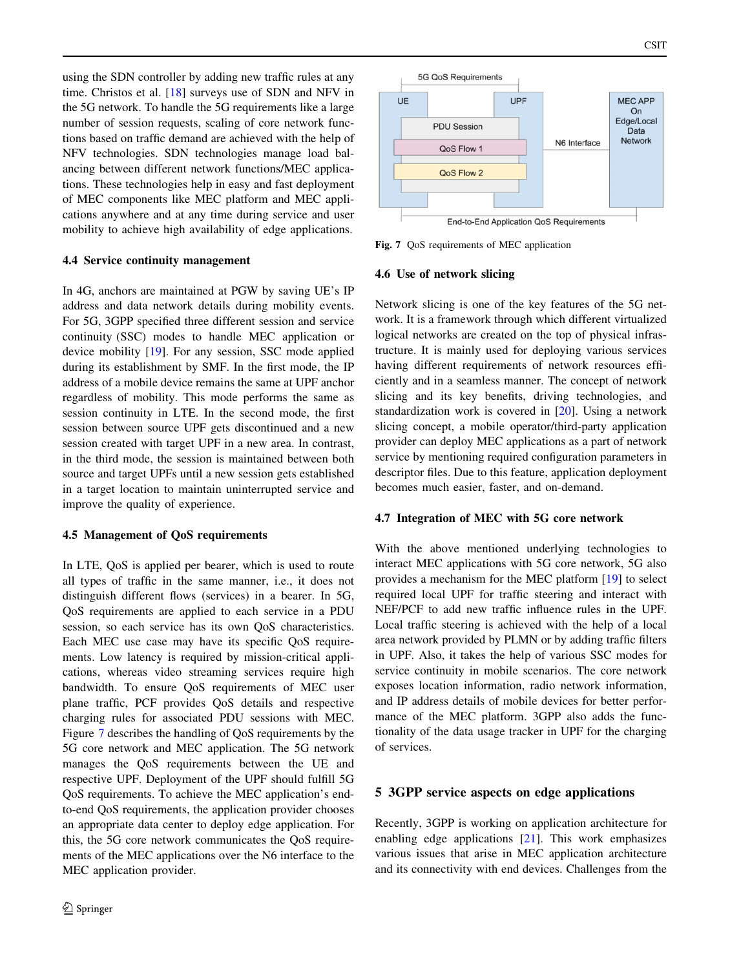using the SDN controller by adding new traffic rules at any time. Christos et al. [\[18](#page-6-0)] surveys use of SDN and NFV in the 5G network. To handle the 5G requirements like a large number of session requests, scaling of core network functions based on traffic demand are achieved with the help of NFV technologies. SDN technologies manage load balancing between different network functions/MEC applications. These technologies help in easy and fast deployment of MEC components like MEC platform and MEC applications anywhere and at any time during service and user mobility to achieve high availability of edge applications.

#### 4.4 Service continuity management

In 4G, anchors are maintained at PGW by saving UE's IP address and data network details during mobility events. For 5G, 3GPP specified three different session and service continuity (SSC) modes to handle MEC application or device mobility [[19\]](#page-6-0). For any session, SSC mode applied during its establishment by SMF. In the first mode, the IP address of a mobile device remains the same at UPF anchor regardless of mobility. This mode performs the same as session continuity in LTE. In the second mode, the first session between source UPF gets discontinued and a new session created with target UPF in a new area. In contrast, in the third mode, the session is maintained between both source and target UPFs until a new session gets established in a target location to maintain uninterrupted service and improve the quality of experience.

#### 4.5 Management of QoS requirements

In LTE, QoS is applied per bearer, which is used to route all types of traffic in the same manner, i.e., it does not distinguish different flows (services) in a bearer. In 5G, QoS requirements are applied to each service in a PDU session, so each service has its own QoS characteristics. Each MEC use case may have its specific QoS requirements. Low latency is required by mission-critical applications, whereas video streaming services require high bandwidth. To ensure QoS requirements of MEC user plane traffic, PCF provides QoS details and respective charging rules for associated PDU sessions with MEC. Figure 7 describes the handling of QoS requirements by the 5G core network and MEC application. The 5G network manages the QoS requirements between the UE and respective UPF. Deployment of the UPF should fulfill 5G QoS requirements. To achieve the MEC application's endto-end QoS requirements, the application provider chooses an appropriate data center to deploy edge application. For this, the 5G core network communicates the QoS requirements of the MEC applications over the N6 interface to the MEC application provider.



Fig. 7 QoS requirements of MEC application

#### 4.6 Use of network slicing

Network slicing is one of the key features of the 5G network. It is a framework through which different virtualized logical networks are created on the top of physical infrastructure. It is mainly used for deploying various services having different requirements of network resources efficiently and in a seamless manner. The concept of network slicing and its key benefits, driving technologies, and standardization work is covered in [\[20](#page-6-0)]. Using a network slicing concept, a mobile operator/third-party application provider can deploy MEC applications as a part of network service by mentioning required configuration parameters in descriptor files. Due to this feature, application deployment becomes much easier, faster, and on-demand.

#### 4.7 Integration of MEC with 5G core network

With the above mentioned underlying technologies to interact MEC applications with 5G core network, 5G also provides a mechanism for the MEC platform [\[19](#page-6-0)] to select required local UPF for traffic steering and interact with NEF/PCF to add new traffic influence rules in the UPF. Local traffic steering is achieved with the help of a local area network provided by PLMN or by adding traffic filters in UPF. Also, it takes the help of various SSC modes for service continuity in mobile scenarios. The core network exposes location information, radio network information, and IP address details of mobile devices for better performance of the MEC platform. 3GPP also adds the functionality of the data usage tracker in UPF for the charging of services.

## 5 3GPP service aspects on edge applications

Recently, 3GPP is working on application architecture for enabling edge applications [[21\]](#page-6-0). This work emphasizes various issues that arise in MEC application architecture and its connectivity with end devices. Challenges from the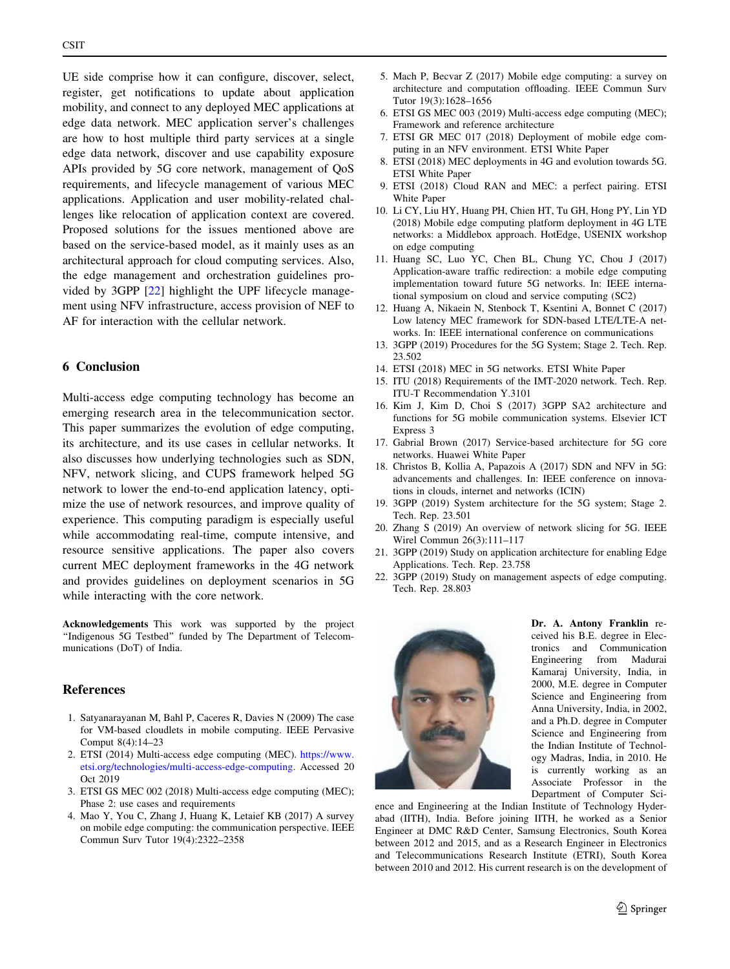<span id="page-6-0"></span>UE side comprise how it can configure, discover, select, register, get notifications to update about application mobility, and connect to any deployed MEC applications at edge data network. MEC application server's challenges are how to host multiple third party services at a single edge data network, discover and use capability exposure APIs provided by 5G core network, management of QoS requirements, and lifecycle management of various MEC applications. Application and user mobility-related challenges like relocation of application context are covered. Proposed solutions for the issues mentioned above are based on the service-based model, as it mainly uses as an architectural approach for cloud computing services. Also, the edge management and orchestration guidelines provided by 3GPP [22] highlight the UPF lifecycle management using NFV infrastructure, access provision of NEF to AF for interaction with the cellular network.

## 6 Conclusion

Multi-access edge computing technology has become an emerging research area in the telecommunication sector. This paper summarizes the evolution of edge computing, its architecture, and its use cases in cellular networks. It also discusses how underlying technologies such as SDN, NFV, network slicing, and CUPS framework helped 5G network to lower the end-to-end application latency, optimize the use of network resources, and improve quality of experience. This computing paradigm is especially useful while accommodating real-time, compute intensive, and resource sensitive applications. The paper also covers current MEC deployment frameworks in the 4G network and provides guidelines on deployment scenarios in 5G while interacting with the core network.

Acknowledgements This work was supported by the project ''Indigenous 5G Testbed'' funded by The Department of Telecommunications (DoT) of India.

#### References

- 1. Satyanarayanan M, Bahl P, Caceres R, Davies N (2009) The case for VM-based cloudlets in mobile computing. IEEE Pervasive Comput 8(4):14–23
- 2. ETSI (2014) Multi-access edge computing (MEC). [https://www.](https://www.etsi.org/technologies/multi-access-edge-computing) [etsi.org/technologies/multi-access-edge-computing](https://www.etsi.org/technologies/multi-access-edge-computing). Accessed 20 Oct 2019
- 3. ETSI GS MEC 002 (2018) Multi-access edge computing (MEC); Phase 2: use cases and requirements
- 4. Mao Y, You C, Zhang J, Huang K, Letaief KB (2017) A survey on mobile edge computing: the communication perspective. IEEE Commun Surv Tutor 19(4):2322–2358
- 5. Mach P, Becvar Z (2017) Mobile edge computing: a survey on architecture and computation offloading. IEEE Commun Surv Tutor 19(3):1628–1656
- 6. ETSI GS MEC 003 (2019) Multi-access edge computing (MEC); Framework and reference architecture
- 7. ETSI GR MEC 017 (2018) Deployment of mobile edge computing in an NFV environment. ETSI White Paper
- 8. ETSI (2018) MEC deployments in 4G and evolution towards 5G. ETSI White Paper
- 9. ETSI (2018) Cloud RAN and MEC: a perfect pairing. ETSI White Paper
- 10. Li CY, Liu HY, Huang PH, Chien HT, Tu GH, Hong PY, Lin YD (2018) Mobile edge computing platform deployment in 4G LTE networks: a Middlebox approach. HotEdge, USENIX workshop on edge computing
- 11. Huang SC, Luo YC, Chen BL, Chung YC, Chou J (2017) Application-aware traffic redirection: a mobile edge computing implementation toward future 5G networks. In: IEEE international symposium on cloud and service computing (SC2)
- 12. Huang A, Nikaein N, Stenbock T, Ksentini A, Bonnet C (2017) Low latency MEC framework for SDN-based LTE/LTE-A networks. In: IEEE international conference on communications
- 13. 3GPP (2019) Procedures for the 5G System; Stage 2. Tech. Rep. 23.502
- 14. ETSI (2018) MEC in 5G networks. ETSI White Paper
- 15. ITU (2018) Requirements of the IMT-2020 network. Tech. Rep. ITU-T Recommendation Y.3101
- 16. Kim J, Kim D, Choi S (2017) 3GPP SA2 architecture and functions for 5G mobile communication systems. Elsevier ICT Express 3
- 17. Gabrial Brown (2017) Service-based architecture for 5G core networks. Huawei White Paper
- 18. Christos B, Kollia A, Papazois A (2017) SDN and NFV in 5G: advancements and challenges. In: IEEE conference on innovations in clouds, internet and networks (ICIN)
- 19. 3GPP (2019) System architecture for the 5G system; Stage 2. Tech. Rep. 23.501
- 20. Zhang S (2019) An overview of network slicing for 5G. IEEE Wirel Commun 26(3):111–117
- 21. 3GPP (2019) Study on application architecture for enabling Edge Applications. Tech. Rep. 23.758
- 22. 3GPP (2019) Study on management aspects of edge computing. Tech. Rep. 28.803



Dr. A. Antony Franklin received his B.E. degree in Electronics and Communication Engineering from Madurai Kamaraj University, India, in 2000, M.E. degree in Computer Science and Engineering from Anna University, India, in 2002, and a Ph.D. degree in Computer Science and Engineering from the Indian Institute of Technology Madras, India, in 2010. He is currently working as an Associate Professor in the Department of Computer Sci-

ence and Engineering at the Indian Institute of Technology Hyderabad (IITH), India. Before joining IITH, he worked as a Senior Engineer at DMC R&D Center, Samsung Electronics, South Korea between 2012 and 2015, and as a Research Engineer in Electronics and Telecommunications Research Institute (ETRI), South Korea between 2010 and 2012. His current research is on the development of